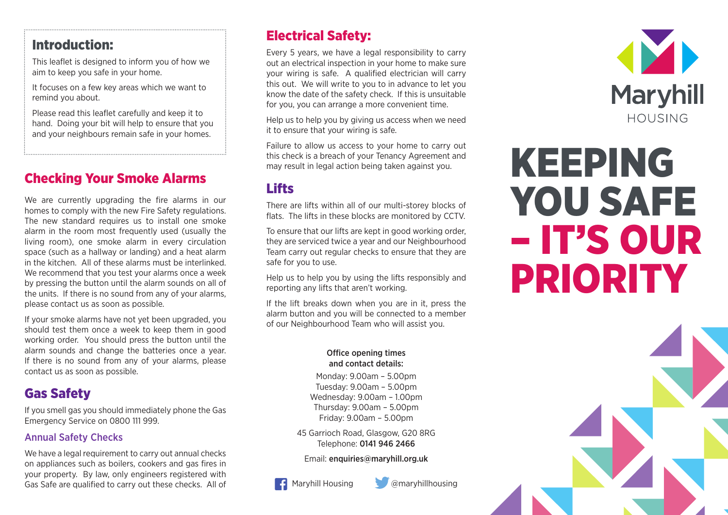# Introduction:

This leaflet is designed to inform you of how we aim to keep you safe in your home.

It focuses on a few key areas which we want to remind you about.

Please read this leaflet carefully and keep it to hand. Doing your bit will help to ensure that you and your neighbours remain safe in your homes.

# Checking Your Smoke Alarms

We are currently upgrading the fire alarms in our homes to comply with the new Fire Safety regulations. The new standard requires us to install one smoke alarm in the room most frequently used (usually the living room), one smoke alarm in every circulation space (such as a hallway or landing) and a heat alarm in the kitchen. All of these alarms must be interlinked. We recommend that you test your alarms once a week by pressing the button until the alarm sounds on all of the units. If there is no sound from any of your alarms, please contact us as soon as possible.

If your smoke alarms have not yet been upgraded, you should test them once a week to keep them in good working order. You should press the button until the alarm sounds and change the batteries once a year. If there is no sound from any of your alarms, please contact us as soon as possible.

# Gas Safety

If you smell gas you should immediately phone the Gas Emergency Service on 0800 111 999.

### Annual Safety Checks

We have a legal requirement to carry out annual checks on appliances such as boilers, cookers and gas fires in your property. By law, only engineers registered with Gas Safe are qualified to carry out these checks. All of

# Electrical Safety:

Every 5 years, we have a legal responsibility to carry out an electrical inspection in your home to make sure your wiring is safe. A qualified electrician will carry this out. We will write to you to in advance to let you know the date of the safety check. If this is unsuitable for you, you can arrange a more convenient time.

Help us to help you by giving us access when we need it to ensure that your wiring is safe.

Failure to allow us access to your home to carry out this check is a breach of your Tenancy Agreement and may result in legal action being taken against you.

# **Lifts**

There are lifts within all of our multi-storey blocks of flats. The lifts in these blocks are monitored by CCTV.

To ensure that our lifts are kept in good working order, they are serviced twice a year and our Neighbourhood Team carry out regular checks to ensure that they are safe for you to use.

Help us to help you by using the lifts responsibly and reporting any lifts that aren't working.

If the lift breaks down when you are in it, press the alarm button and you will be connected to a member of our Neighbourhood Team who will assist you.

#### Office opening times and contact details:

Monday: 9.00am – 5.00pm Tuesday: 9.00am – 5.00pm Wednesday: 9.00am – 1.00pm Thursday: 9.00am – 5.00pm Friday: 9.00am – 5.00pm

45 Garrioch Road, Glasgow, G20 8RG Telephone: 0141 946 2466

Email: enquiries@maryhill.org.uk

Maryhill Housing **@maryhillhousing** 



# KEEPING YOU SAFE – IT'S OUR PRIORITY